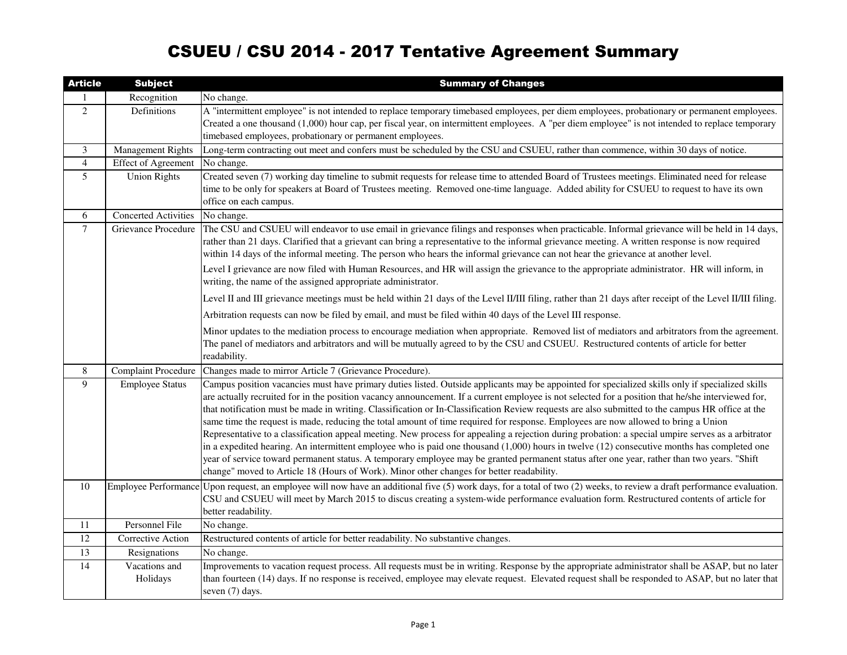## CSUEU / CSU 2014 - 2017 Tentative Agreement Summary

| <b>Article</b> | <b>Subject</b>              | <b>Summary of Changes</b>                                                                                                                                                                                                                                                                                                                                                                                                                                                                                                                                                                                                                                                                                                                                                                                                                                                                                                                                                                                                                                                                                                                            |
|----------------|-----------------------------|------------------------------------------------------------------------------------------------------------------------------------------------------------------------------------------------------------------------------------------------------------------------------------------------------------------------------------------------------------------------------------------------------------------------------------------------------------------------------------------------------------------------------------------------------------------------------------------------------------------------------------------------------------------------------------------------------------------------------------------------------------------------------------------------------------------------------------------------------------------------------------------------------------------------------------------------------------------------------------------------------------------------------------------------------------------------------------------------------------------------------------------------------|
|                | Recognition                 | No change.                                                                                                                                                                                                                                                                                                                                                                                                                                                                                                                                                                                                                                                                                                                                                                                                                                                                                                                                                                                                                                                                                                                                           |
| 2              | Definitions                 | A "intermittent employee" is not intended to replace temporary timebased employees, per diem employees, probationary or permanent employees.<br>Created a one thousand (1,000) hour cap, per fiscal year, on intermittent employees. A "per diem employee" is not intended to replace temporary<br>timebased employees, probationary or permanent employees.                                                                                                                                                                                                                                                                                                                                                                                                                                                                                                                                                                                                                                                                                                                                                                                         |
| 3              | <b>Management Rights</b>    | Long-term contracting out meet and confers must be scheduled by the CSU and CSUEU, rather than commence, within 30 days of notice.                                                                                                                                                                                                                                                                                                                                                                                                                                                                                                                                                                                                                                                                                                                                                                                                                                                                                                                                                                                                                   |
| $\overline{4}$ | <b>Effect of Agreement</b>  | No change.                                                                                                                                                                                                                                                                                                                                                                                                                                                                                                                                                                                                                                                                                                                                                                                                                                                                                                                                                                                                                                                                                                                                           |
| 5              | <b>Union Rights</b>         | Created seven (7) working day timeline to submit requests for release time to attended Board of Trustees meetings. Eliminated need for release<br>time to be only for speakers at Board of Trustees meeting. Removed one-time language. Added ability for CSUEU to request to have its own<br>office on each campus.                                                                                                                                                                                                                                                                                                                                                                                                                                                                                                                                                                                                                                                                                                                                                                                                                                 |
| 6              | <b>Concerted Activities</b> | No change.                                                                                                                                                                                                                                                                                                                                                                                                                                                                                                                                                                                                                                                                                                                                                                                                                                                                                                                                                                                                                                                                                                                                           |
| $\overline{7}$ | Grievance Procedure         | The CSU and CSUEU will endeavor to use email in grievance filings and responses when practicable. Informal grievance will be held in 14 days,<br>rather than 21 days. Clarified that a grievant can bring a representative to the informal grievance meeting. A written response is now required<br>within 14 days of the informal meeting. The person who hears the informal grievance can not hear the grievance at another level.<br>Level I grievance are now filed with Human Resources, and HR will assign the grievance to the appropriate administrator. HR will inform, in                                                                                                                                                                                                                                                                                                                                                                                                                                                                                                                                                                  |
|                |                             | writing, the name of the assigned appropriate administrator.                                                                                                                                                                                                                                                                                                                                                                                                                                                                                                                                                                                                                                                                                                                                                                                                                                                                                                                                                                                                                                                                                         |
|                |                             | Level II and III grievance meetings must be held within 21 days of the Level II/III filing, rather than 21 days after receipt of the Level II/III filing.                                                                                                                                                                                                                                                                                                                                                                                                                                                                                                                                                                                                                                                                                                                                                                                                                                                                                                                                                                                            |
|                |                             | Arbitration requests can now be filed by email, and must be filed within 40 days of the Level III response.                                                                                                                                                                                                                                                                                                                                                                                                                                                                                                                                                                                                                                                                                                                                                                                                                                                                                                                                                                                                                                          |
|                |                             | Minor updates to the mediation process to encourage mediation when appropriate. Removed list of mediators and arbitrators from the agreement.<br>The panel of mediators and arbitrators and will be mutually agreed to by the CSU and CSUEU. Restructured contents of article for better<br>readability.                                                                                                                                                                                                                                                                                                                                                                                                                                                                                                                                                                                                                                                                                                                                                                                                                                             |
| 8              | <b>Complaint Procedure</b>  | Changes made to mirror Article 7 (Grievance Procedure).                                                                                                                                                                                                                                                                                                                                                                                                                                                                                                                                                                                                                                                                                                                                                                                                                                                                                                                                                                                                                                                                                              |
| 9              | <b>Employee Status</b>      | Campus position vacancies must have primary duties listed. Outside applicants may be appointed for specialized skills only if specialized skills<br>are actually recruited for in the position vacancy announcement. If a current employee is not selected for a position that he/she interviewed for,<br>that notification must be made in writing. Classification or In-Classification Review requests are also submitted to the campus HR office at the<br>same time the request is made, reducing the total amount of time required for response. Employees are now allowed to bring a Union<br>Representative to a classification appeal meeting. New process for appealing a rejection during probation: a special umpire serves as a arbitrator<br>in a expedited hearing. An intermittent employee who is paid one thousand $(1,000)$ hours in twelve $(12)$ consecutive months has completed one<br>year of service toward permanent status. A temporary employee may be granted permanent status after one year, rather than two years. "Shift<br>change" moved to Article 18 (Hours of Work). Minor other changes for better readability. |
| $10\,$         |                             | Employee Performance Upon request, an employee will now have an additional five $(5)$ work days, for a total of two $(2)$ weeks, to review a draft performance evaluation.<br>CSU and CSUEU will meet by March 2015 to discus creating a system-wide performance evaluation form. Restructured contents of article for<br>better readability.                                                                                                                                                                                                                                                                                                                                                                                                                                                                                                                                                                                                                                                                                                                                                                                                        |
| 11             | Personnel File              | No change.                                                                                                                                                                                                                                                                                                                                                                                                                                                                                                                                                                                                                                                                                                                                                                                                                                                                                                                                                                                                                                                                                                                                           |
| 12             | Corrective Action           | Restructured contents of article for better readability. No substantive changes.                                                                                                                                                                                                                                                                                                                                                                                                                                                                                                                                                                                                                                                                                                                                                                                                                                                                                                                                                                                                                                                                     |
| 13             | Resignations                | No change.                                                                                                                                                                                                                                                                                                                                                                                                                                                                                                                                                                                                                                                                                                                                                                                                                                                                                                                                                                                                                                                                                                                                           |
| 14             | Vacations and<br>Holidays   | Improvements to vacation request process. All requests must be in writing. Response by the appropriate administrator shall be ASAP, but no later<br>than fourteen (14) days. If no response is received, employee may elevate request. Elevated request shall be responded to ASAP, but no later that<br>seven (7) days.                                                                                                                                                                                                                                                                                                                                                                                                                                                                                                                                                                                                                                                                                                                                                                                                                             |